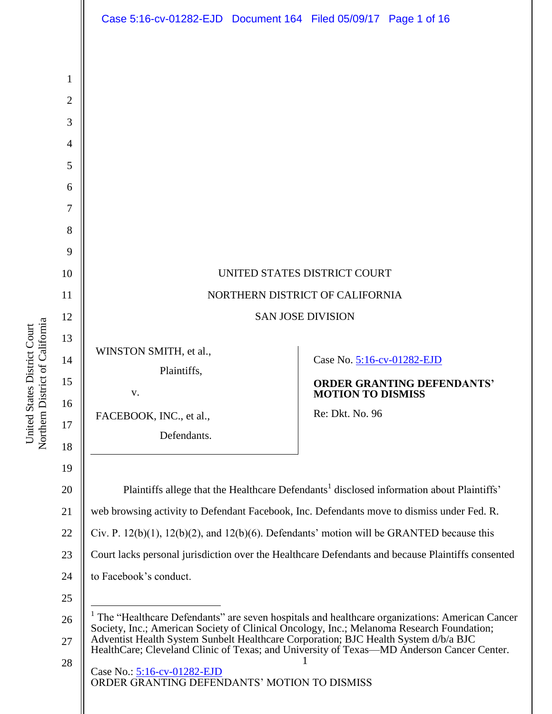

Northern District of California Northern District of California United States District Court United States District Court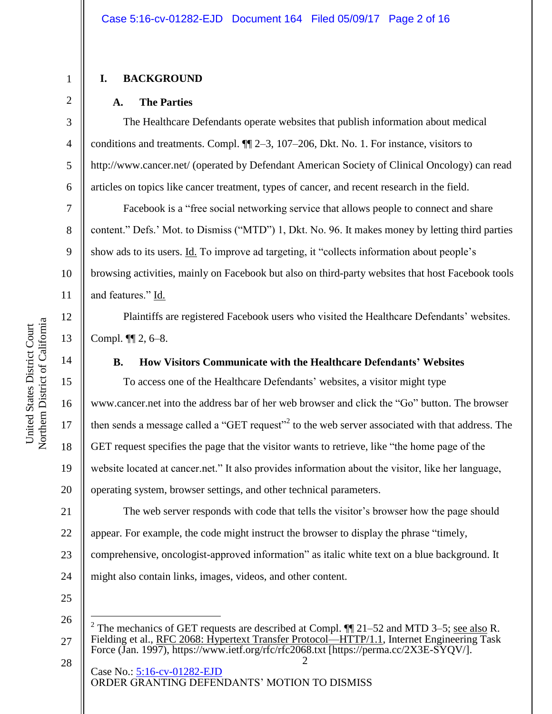### **I. BACKGROUND**

1

2

3

4

5

6

7

8

9

10

11

12

13

14

15

16

17

18

19

20

#### **A. The Parties**

The Healthcare Defendants operate websites that publish information about medical conditions and treatments. Compl. ¶¶ 2–3, 107–206, Dkt. No. 1. For instance, visitors to http://www.cancer.net/ (operated by Defendant American Society of Clinical Oncology) can read articles on topics like cancer treatment, types of cancer, and recent research in the field.

Facebook is a "free social networking service that allows people to connect and share content." Defs.' Mot. to Dismiss ("MTD") 1, Dkt. No. 96. It makes money by letting third parties show ads to its users. Id. To improve ad targeting, it "collects information about people's browsing activities, mainly on Facebook but also on third-party websites that host Facebook tools and features." Id.

Plaintiffs are registered Facebook users who visited the Healthcare Defendants' websites. Compl. ¶¶ 2, 6–8.

# **B. How Visitors Communicate with the Healthcare Defendants' Websites**

To access one of the Healthcare Defendants' websites, a visitor might type www.cancer.net into the address bar of her web browser and click the "Go" button. The browser then sends a message called a "GET request"<sup>2</sup> to the web server associated with that address. The GET request specifies the page that the visitor wants to retrieve, like "the home page of the website located at cancer.net." It also provides information about the visitor, like her language, operating system, browser settings, and other technical parameters.

21 22 23 24 The web server responds with code that tells the visitor's browser how the page should appear. For example, the code might instruct the browser to display the phrase "timely, comprehensive, oncologist-approved information" as italic white text on a blue background. It might also contain links, images, videos, and other content.

25

 $\overline{a}$ 

28

<sup>26</sup> 27 2 The mechanics of GET requests are described at Compl.  $\P$ [21–52 and MTD 3–5; see also R. Fielding et al., RFC 2068: Hypertext Transfer Protocol—HTTP/1.1, Internet Engineering Task Force (Jan. 1997), https://www.ietf.org/rfc/rfc2068.txt [https://perma.cc/2X3E-SYQV/].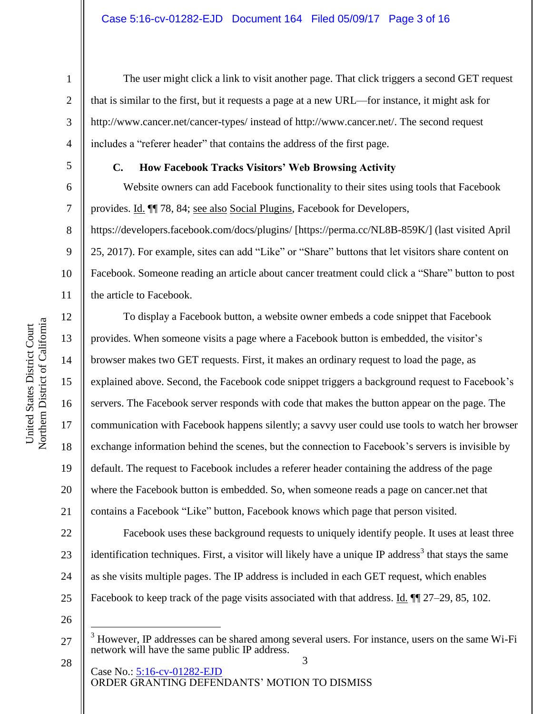6

7

8

9

10

11

12

13

14

15

16

17

18

19

20

21

#### **C. How Facebook Tracks Visitors' Web Browsing Activity**

includes a "referer header" that contains the address of the first page.

Website owners can add Facebook functionality to their sites using tools that Facebook provides. Id. ¶¶ 78, 84; see also Social Plugins, Facebook for Developers,

that is similar to the first, but it requests a page at a new URL—for instance, it might ask for

http://www.cancer.net/cancer-types/ instead of http://www.cancer.net/. The second request

The user might click a link to visit another page. That click triggers a second GET request

https://developers.facebook.com/docs/plugins/ [https://perma.cc/NL8B-859K/] (last visited April 25, 2017). For example, sites can add "Like" or "Share" buttons that let visitors share content on Facebook. Someone reading an article about cancer treatment could click a "Share" button to post the article to Facebook.

To display a Facebook button, a website owner embeds a code snippet that Facebook provides. When someone visits a page where a Facebook button is embedded, the visitor's browser makes two GET requests. First, it makes an ordinary request to load the page, as explained above. Second, the Facebook code snippet triggers a background request to Facebook's servers. The Facebook server responds with code that makes the button appear on the page. The communication with Facebook happens silently; a savvy user could use tools to watch her browser exchange information behind the scenes, but the connection to Facebook's servers is invisible by default. The request to Facebook includes a referer header containing the address of the page where the Facebook button is embedded. So, when someone reads a page on cancer.net that contains a Facebook "Like" button, Facebook knows which page that person visited.

22 23 24 25 Facebook uses these background requests to uniquely identify people. It uses at least three identification techniques. First, a visitor will likely have a unique IP address<sup>3</sup> that stays the same as she visits multiple pages. The IP address is included in each GET request, which enables Facebook to keep track of the page visits associated with that address. Id.  $\P$  27–29, 85, 102.

26

 $\overline{a}$ 

28

<sup>27</sup> <sup>3</sup> However, IP addresses can be shared among several users. For instance, users on the same Wi-Fi network will have the same public IP address.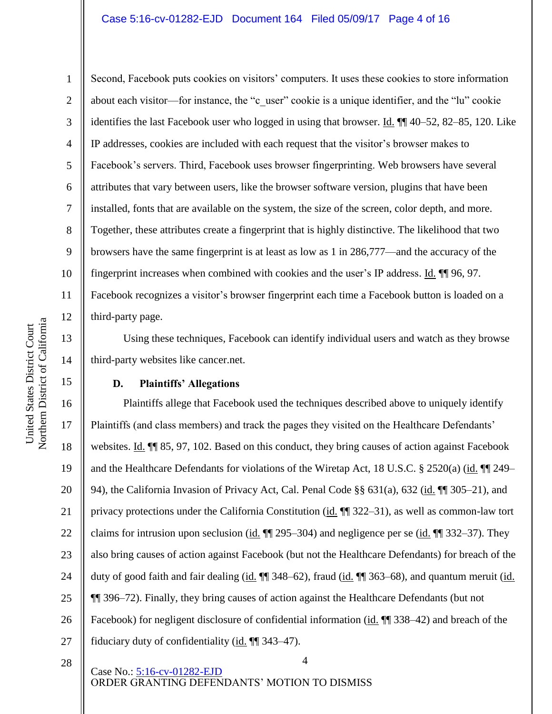United States District Court

Northern District of California United States District Court

1

2

Second, Facebook puts cookies on visitors' computers. It uses these cookies to store information about each visitor—for instance, the "c\_user" cookie is a unique identifier, and the "lu" cookie identifies the last Facebook user who logged in using that browser. Id. ¶¶ 40–52, 82–85, 120. Like IP addresses, cookies are included with each request that the visitor's browser makes to Facebook's servers. Third, Facebook uses browser fingerprinting. Web browsers have several attributes that vary between users, like the browser software version, plugins that have been installed, fonts that are available on the system, the size of the screen, color depth, and more. Together, these attributes create a fingerprint that is highly distinctive. The likelihood that two browsers have the same fingerprint is at least as low as 1 in 286,777—and the accuracy of the fingerprint increases when combined with cookies and the user's IP address. Id. ¶¶ 96, 97. Facebook recognizes a visitor's browser fingerprint each time a Facebook button is loaded on a third-party page.

Using these techniques, Facebook can identify individual users and watch as they browse third-party websites like cancer.net.

# **D. Plaintiffs' Allegations**

4 16 17 18 19 20 21 22 23 24 25 26 27 Plaintiffs allege that Facebook used the techniques described above to uniquely identify Plaintiffs (and class members) and track the pages they visited on the Healthcare Defendants' websites. Id.  $\P$  85, 97, 102. Based on this conduct, they bring causes of action against Facebook and the Healthcare Defendants for violations of the Wiretap Act, 18 U.S.C. § 2520(a) (id. ¶¶ 249– 94), the California Invasion of Privacy Act, Cal. Penal Code §§ 631(a), 632 (id. ¶¶ 305–21), and privacy protections under the California Constitution (id. ¶¶ 322–31), as well as common-law tort claims for intrusion upon seclusion (id.  $\P$  295–304) and negligence per se (id.  $\P$  332–37). They also bring causes of action against Facebook (but not the Healthcare Defendants) for breach of the duty of good faith and fair dealing (id.  $\P$  348–62), fraud (id.  $\P$  363–68), and quantum meruit (id. ¶¶ 396–72). Finally, they bring causes of action against the Healthcare Defendants (but not Facebook) for negligent disclosure of confidential information (id.  $\P$  338–42) and breach of the fiduciary duty of confidentiality (id.  $\P$  343–47).

28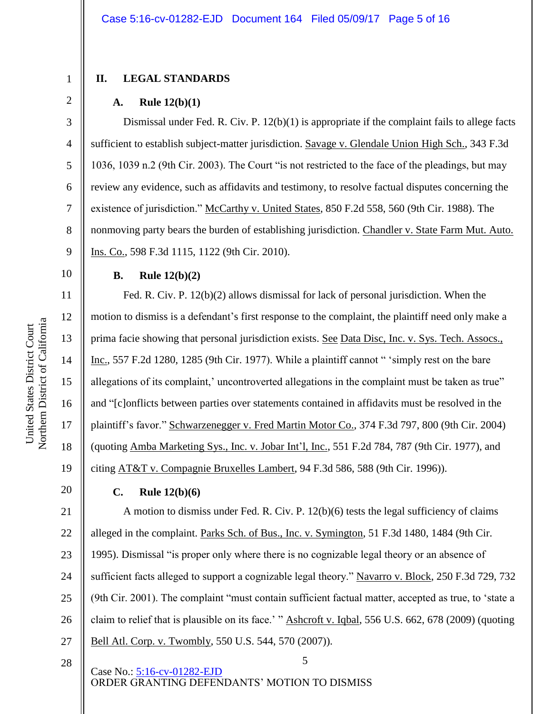#### **II. LEGAL STANDARDS**

#### **A. Rule 12(b)(1)**

Dismissal under Fed. R. Civ. P. 12(b)(1) is appropriate if the complaint fails to allege facts sufficient to establish subject-matter jurisdiction. Savage v. Glendale Union High Sch., 343 F.3d 1036, 1039 n.2 (9th Cir. 2003). The Court "is not restricted to the face of the pleadings, but may review any evidence, such as affidavits and testimony, to resolve factual disputes concerning the existence of jurisdiction." McCarthy v. United States, 850 F.2d 558, 560 (9th Cir. 1988). The nonmoving party bears the burden of establishing jurisdiction. Chandler v. State Farm Mut. Auto. Ins. Co., 598 F.3d 1115, 1122 (9th Cir. 2010).

## **B. Rule 12(b)(2)**

Fed. R. Civ. P. 12(b)(2) allows dismissal for lack of personal jurisdiction. When the motion to dismiss is a defendant's first response to the complaint, the plaintiff need only make a prima facie showing that personal jurisdiction exists. See Data Disc, Inc. v. Sys. Tech. Assocs., Inc., 557 F.2d 1280, 1285 (9th Cir. 1977). While a plaintiff cannot " 'simply rest on the bare allegations of its complaint,' uncontroverted allegations in the complaint must be taken as true" and "[c]onflicts between parties over statements contained in affidavits must be resolved in the plaintiff's favor." Schwarzenegger v. Fred Martin Motor Co., 374 F.3d 797, 800 (9th Cir. 2004) (quoting Amba Marketing Sys., Inc. v. Jobar Int'l, Inc., 551 F.2d 784, 787 (9th Cir. 1977), and citing AT&T v. Compagnie Bruxelles Lambert, 94 F.3d 586, 588 (9th Cir. 1996)).

#### **C. Rule 12(b)(6)**

5 21 22 23 24 25 26 27 A motion to dismiss under Fed. R. Civ. P. 12(b)(6) tests the legal sufficiency of claims alleged in the complaint. Parks Sch. of Bus., Inc. v. Symington, 51 F.3d 1480, 1484 (9th Cir. 1995). Dismissal "is proper only where there is no cognizable legal theory or an absence of sufficient facts alleged to support a cognizable legal theory." Navarro v. Block, 250 F.3d 729, 732 (9th Cir. 2001). The complaint "must contain sufficient factual matter, accepted as true, to 'state a claim to relief that is plausible on its face.' " Ashcroft v. Iqbal, 556 U.S. 662, 678 (2009) (quoting Bell Atl. Corp. v. Twombly, 550 U.S. 544, 570 (2007)).

28

Case No.: [5:16-cv-01282-EJD](https://ecf.cand.uscourts.gov/cgi-bin/DktRpt.pl?296642) ORDER GRANTING DEFENDANTS' MOTION TO DISMISS

12

13

14

15

16

17

18

19

20

1

2

3

4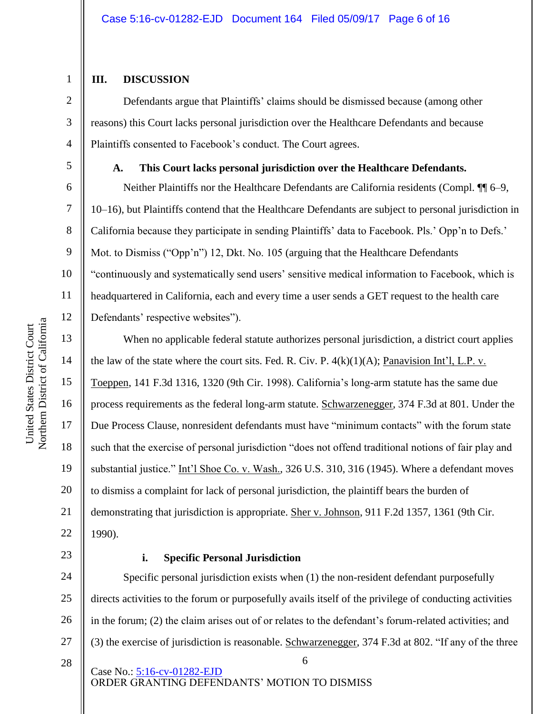## **III. DISCUSSION**

1

2

3

4

5

6

7

8

9

10

11

12

13

14

15

16

17

18

19

20

21

22

Defendants argue that Plaintiffs' claims should be dismissed because (among other reasons) this Court lacks personal jurisdiction over the Healthcare Defendants and because Plaintiffs consented to Facebook's conduct. The Court agrees.

**A. This Court lacks personal jurisdiction over the Healthcare Defendants.**

Neither Plaintiffs nor the Healthcare Defendants are California residents (Compl. ¶¶ 6–9, 10–16), but Plaintiffs contend that the Healthcare Defendants are subject to personal jurisdiction in California because they participate in sending Plaintiffs' data to Facebook. Pls.' Opp'n to Defs.' Mot. to Dismiss ("Opp'n") 12, Dkt. No. 105 (arguing that the Healthcare Defendants "continuously and systematically send users' sensitive medical information to Facebook, which is headquartered in California, each and every time a user sends a GET request to the health care Defendants' respective websites").

When no applicable federal statute authorizes personal jurisdiction, a district court applies the law of the state where the court sits. Fed. R. Civ. P.  $4(k)(1)(A)$ ; Panavision Int'l, L.P. v. Toeppen, 141 F.3d 1316, 1320 (9th Cir. 1998). California's long-arm statute has the same due process requirements as the federal long-arm statute. Schwarzenegger, 374 F.3d at 801. Under the Due Process Clause, nonresident defendants must have "minimum contacts" with the forum state such that the exercise of personal jurisdiction "does not offend traditional notions of fair play and substantial justice." Int'l Shoe Co. v. Wash., 326 U.S. 310, 316 (1945). Where a defendant moves to dismiss a complaint for lack of personal jurisdiction, the plaintiff bears the burden of demonstrating that jurisdiction is appropriate. Sher v. Johnson, 911 F.2d 1357, 1361 (9th Cir. 1990).

23

# **i. Specific Personal Jurisdiction**

6 Case No.: [5:16-cv-01282-EJD](https://ecf.cand.uscourts.gov/cgi-bin/DktRpt.pl?296642) 24 25 26 27 28 Specific personal jurisdiction exists when (1) the non-resident defendant purposefully directs activities to the forum or purposefully avails itself of the privilege of conducting activities in the forum; (2) the claim arises out of or relates to the defendant's forum-related activities; and (3) the exercise of jurisdiction is reasonable. Schwarzenegger, 374 F.3d at 802. "If any of the three

ORDER GRANTING DEFENDANTS' MOTION TO DISMISS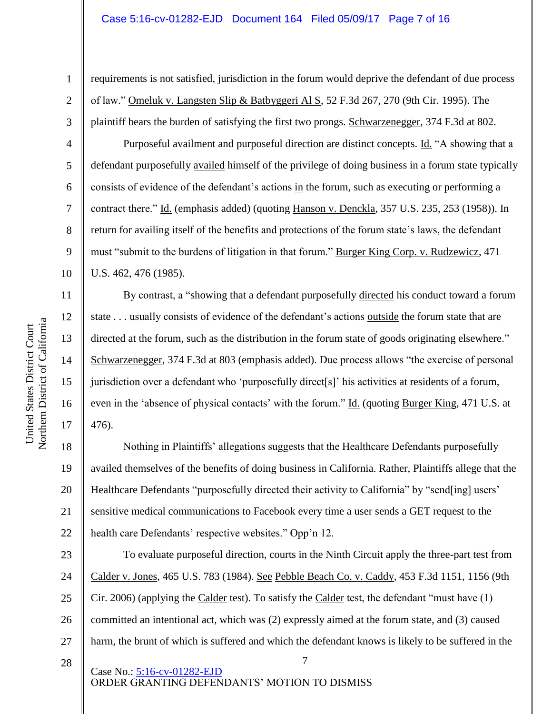requirements is not satisfied, jurisdiction in the forum would deprive the defendant of due process of law." Omeluk v. Langsten Slip & Batbyggeri Al S, 52 F.3d 267, 270 (9th Cir. 1995). The plaintiff bears the burden of satisfying the first two prongs. Schwarzenegger, 374 F.3d at 802.

Purposeful availment and purposeful direction are distinct concepts. Id. "A showing that a defendant purposefully availed himself of the privilege of doing business in a forum state typically consists of evidence of the defendant's actions in the forum, such as executing or performing a contract there." Id. (emphasis added) (quoting Hanson v. Denckla, 357 U.S. 235, 253 (1958)). In return for availing itself of the benefits and protections of the forum state's laws, the defendant must "submit to the burdens of litigation in that forum." Burger King Corp. v. Rudzewicz, 471 U.S. 462, 476 (1985).

By contrast, a "showing that a defendant purposefully directed his conduct toward a forum state . . . usually consists of evidence of the defendant's actions outside the forum state that are directed at the forum, such as the distribution in the forum state of goods originating elsewhere." Schwarzenegger, 374 F.3d at 803 (emphasis added). Due process allows "the exercise of personal jurisdiction over a defendant who 'purposefully direct[s]' his activities at residents of a forum, even in the 'absence of physical contacts' with the forum." Id. (quoting Burger King, 471 U.S. at 476).

18 19 20 21 22 Nothing in Plaintiffs' allegations suggests that the Healthcare Defendants purposefully availed themselves of the benefits of doing business in California. Rather, Plaintiffs allege that the Healthcare Defendants "purposefully directed their activity to California" by "send[ing] users' sensitive medical communications to Facebook every time a user sends a GET request to the health care Defendants' respective websites." Opp'n 12.

23 24 25 26 27 To evaluate purposeful direction, courts in the Ninth Circuit apply the three-part test from Calder v. Jones, 465 U.S. 783 (1984). See Pebble Beach Co. v. Caddy, 453 F.3d 1151, 1156 (9th Cir. 2006) (applying the Calder test). To satisfy the Calder test, the defendant "must have (1) committed an intentional act, which was (2) expressly aimed at the forum state, and (3) caused harm, the brunt of which is suffered and which the defendant knows is likely to be suffered in the

7

28

Case No.: [5:16-cv-01282-EJD](https://ecf.cand.uscourts.gov/cgi-bin/DktRpt.pl?296642) ORDER GRANTING DEFENDANTS' MOTION TO DISMISS

1

2

3

4

5

6

7

8

9

10

11

12

13

14

15

16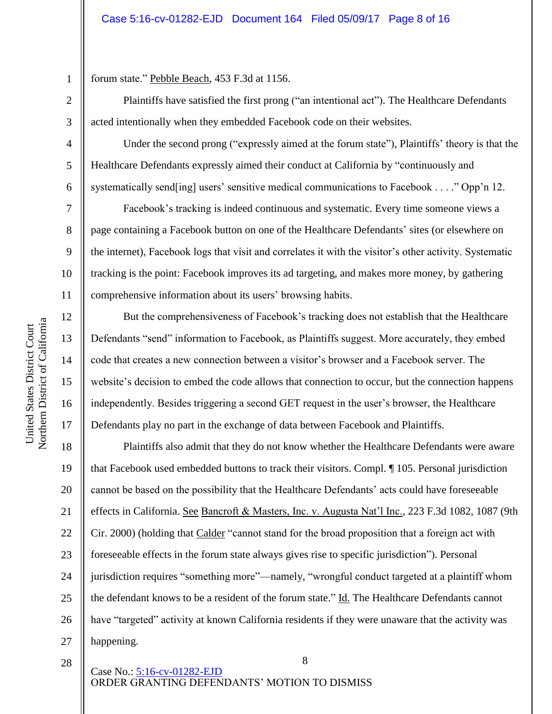forum state." Pebble Beach, 453 F.3d at 1156.

Plaintiffs have satisfied the first prong ("an intentional act"). The Healthcare Defendants acted intentionally when they embedded Facebook code on their websites.

Under the second prong ("expressly aimed at the forum state"), Plaintiffs' theory is that the Healthcare Defendants expressly aimed their conduct at California by "continuously and systematically send[ing] users' sensitive medical communications to Facebook . . . ." Opp'n 12.

Facebook's tracking is indeed continuous and systematic. Every time someone views a page containing a Facebook button on one of the Healthcare Defendants' sites (or elsewhere on the internet), Facebook logs that visit and correlates it with the visitor's other activity. Systematic tracking is the point: Facebook improves its ad targeting, and makes more money, by gathering comprehensive information about its users' browsing habits.

But the comprehensiveness of Facebook's tracking does not establish that the Healthcare Defendants "send" information to Facebook, as Plaintiffs suggest. More accurately, they embed code that creates a new connection between a visitor's browser and a Facebook server. The website's decision to embed the code allows that connection to occur, but the connection happens independently. Besides triggering a second GET request in the user's browser, the Healthcare Defendants play no part in the exchange of data between Facebook and Plaintiffs.

18 19 20 21 22 23 24 25 26 27 Plaintiffs also admit that they do not know whether the Healthcare Defendants were aware that Facebook used embedded buttons to track their visitors. Compl. ¶ 105. Personal jurisdiction cannot be based on the possibility that the Healthcare Defendants' acts could have foreseeable effects in California. See Bancroft & Masters, Inc. v. Augusta Nat'l Inc., 223 F.3d 1082, 1087 (9th Cir. 2000) (holding that Calder "cannot stand for the broad proposition that a foreign act with foreseeable effects in the forum state always gives rise to specific jurisdiction"). Personal jurisdiction requires "something more"—namely, "wrongful conduct targeted at a plaintiff whom the defendant knows to be a resident of the forum state." Id. The Healthcare Defendants cannot have "targeted" activity at known California residents if they were unaware that the activity was happening.

8

28

1

2

3

4

5

6

7

8

9

10

11

12

13

14

15

16

17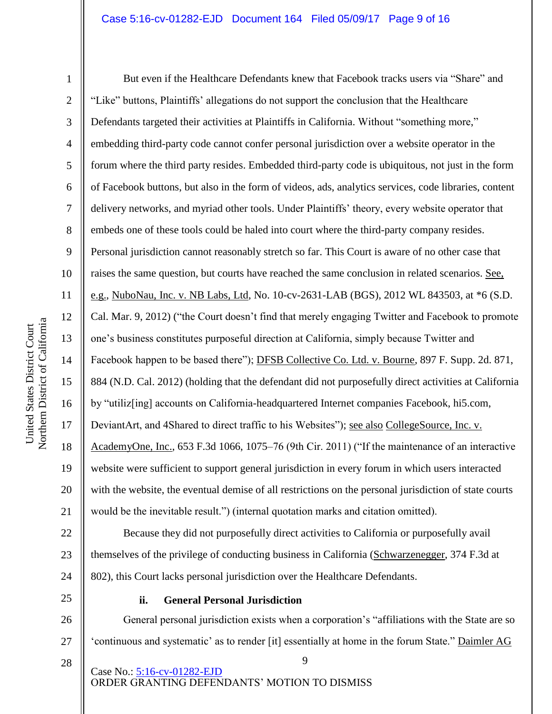Northern District of California Northern District of California United States District Court United States District Court

25

26

27

28

1 2 3 4 5 6 7 8 9 10 11 12 13 14 15 16 17 18 19 20 21 22 23 24 But even if the Healthcare Defendants knew that Facebook tracks users via "Share" and "Like" buttons, Plaintiffs' allegations do not support the conclusion that the Healthcare Defendants targeted their activities at Plaintiffs in California. Without "something more," embedding third-party code cannot confer personal jurisdiction over a website operator in the forum where the third party resides. Embedded third-party code is ubiquitous, not just in the form of Facebook buttons, but also in the form of videos, ads, analytics services, code libraries, content delivery networks, and myriad other tools. Under Plaintiffs' theory, every website operator that embeds one of these tools could be haled into court where the third-party company resides. Personal jurisdiction cannot reasonably stretch so far. This Court is aware of no other case that raises the same question, but courts have reached the same conclusion in related scenarios. See, e.g., NuboNau, Inc. v. NB Labs, Ltd, No. 10-cv-2631-LAB (BGS), 2012 WL 843503, at \*6 (S.D. Cal. Mar. 9, 2012) ("the Court doesn't find that merely engaging Twitter and Facebook to promote one's business constitutes purposeful direction at California, simply because Twitter and Facebook happen to be based there"); DFSB Collective Co. Ltd. v. Bourne, 897 F. Supp. 2d. 871, 884 (N.D. Cal. 2012) (holding that the defendant did not purposefully direct activities at California by "utiliz[ing] accounts on California-headquartered Internet companies Facebook, hi5.com, DeviantArt, and 4Shared to direct traffic to his Websites"); <u>see also CollegeSource, Inc. v.</u> AcademyOne, Inc., 653 F.3d 1066, 1075–76 (9th Cir. 2011) ("If the maintenance of an interactive website were sufficient to support general jurisdiction in every forum in which users interacted with the website, the eventual demise of all restrictions on the personal jurisdiction of state courts would be the inevitable result.") (internal quotation marks and citation omitted). Because they did not purposefully direct activities to California or purposefully avail themselves of the privilege of conducting business in California (Schwarzenegger, 374 F.3d at 802), this Court lacks personal jurisdiction over the Healthcare Defendants.

# **ii. General Personal Jurisdiction**

General personal jurisdiction exists when a corporation's "affiliations with the State are so 'continuous and systematic' as to render [it] essentially at home in the forum State." Daimler AG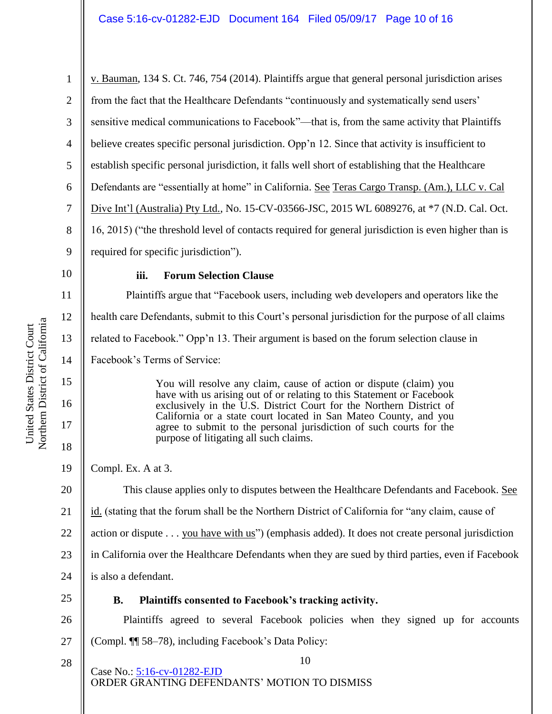1 2 3 4 5 6 7 8 9 10 11 12 13 14 15 16 17 18 19 20 21 22 v. Bauman, 134 S. Ct. 746, 754 (2014). Plaintiffs argue that general personal jurisdiction arises from the fact that the Healthcare Defendants "continuously and systematically send users' sensitive medical communications to Facebook"—that is, from the same activity that Plaintiffs believe creates specific personal jurisdiction. Opp'n 12. Since that activity is insufficient to establish specific personal jurisdiction, it falls well short of establishing that the Healthcare Defendants are "essentially at home" in California. See Teras Cargo Transp. (Am.), LLC v. Cal Dive Int'l (Australia) Pty Ltd., No. 15-CV-03566-JSC, 2015 WL 6089276, at \*7 (N.D. Cal. Oct. 16, 2015) ("the threshold level of contacts required for general jurisdiction is even higher than is required for specific jurisdiction"). **iii. Forum Selection Clause** Plaintiffs argue that "Facebook users, including web developers and operators like the health care Defendants, submit to this Court's personal jurisdiction for the purpose of all claims related to Facebook." Opp'n 13. Their argument is based on the forum selection clause in Facebook's Terms of Service: You will resolve any claim, cause of action or dispute (claim) you have with us arising out of or relating to this Statement or Facebook exclusively in the U.S. District Court for the Northern District of California or a state court located in San Mateo County, and you agree to submit to the personal jurisdiction of such courts for the purpose of litigating all such claims. Compl. Ex. A at 3. This clause applies only to disputes between the Healthcare Defendants and Facebook. See id. (stating that the forum shall be the Northern District of California for "any claim, cause of action or dispute . . . you have with us") (emphasis added). It does not create personal jurisdiction

23 in California over the Healthcare Defendants when they are sued by third parties, even if Facebook

- 24 is also a defendant.
- 25

# **B. Plaintiffs consented to Facebook's tracking activity.**

26 27 Plaintiffs agreed to several Facebook policies when they signed up for accounts (Compl. ¶¶ 58–78), including Facebook's Data Policy:

10 Case No.: [5:16-cv-01282-EJD](https://ecf.cand.uscourts.gov/cgi-bin/DktRpt.pl?296642) ORDER GRANTING DEFENDANTS' MOTION TO DISMISS

Northern District of California Northern District of California United States District Court United States District Court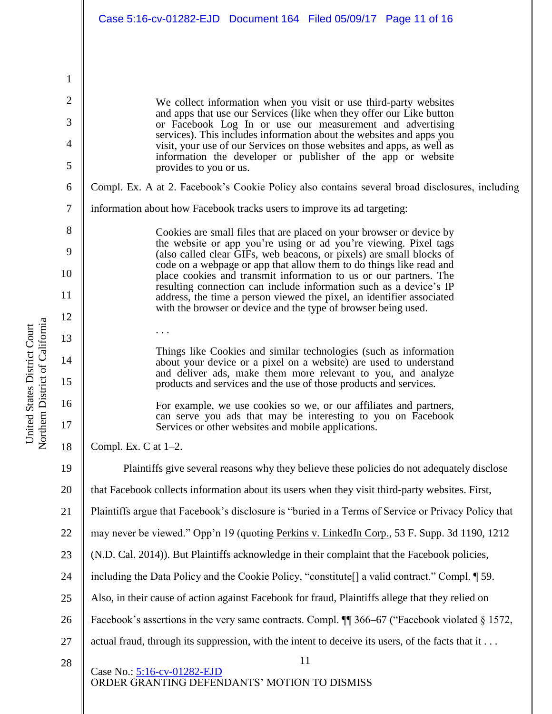We collect information when you visit or use third-party websites and apps that use our Services (like when they offer our Like button or Facebook Log In or use our measurement and advertising services). This includes information about the websites and apps you visit, your use of our Services on those websites and apps, as well as information the developer or publisher of the app or website provides to you or us.

Compl. Ex. A at 2. Facebook's Cookie Policy also contains several broad disclosures, including

information about how Facebook tracks users to improve its ad targeting:

Cookies are small files that are placed on your browser or device by the website or app you're using or ad you're viewing. Pixel tags (also called clear GIFs, web beacons, or pixels) are small blocks of code on a webpage or app that allow them to do things like read and place cookies and transmit information to us or our partners. The resulting connection can include information such as a device's IP address, the time a person viewed the pixel, an identifier associated with the browser or device and the type of browser being used.

Things like Cookies and similar technologies (such as information about your device or a pixel on a website) are used to understand and deliver ads, make them more relevant to you, and analyze products and services and the use of those products and services.

For example, we use cookies so we, or our affiliates and partners, can serve you ads that may be interesting to you on Facebook Services or other websites and mobile applications.

Compl. Ex. C at 1–2.

. . .

11 Case No.: [5:16-cv-01282-EJD](https://ecf.cand.uscourts.gov/cgi-bin/DktRpt.pl?296642) ORDER GRANTING DEFENDANTS' MOTION TO DISMISS 19 20 21 22 23 24 25 26 27 Plaintiffs give several reasons why they believe these policies do not adequately disclose that Facebook collects information about its users when they visit third-party websites. First, Plaintiffs argue that Facebook's disclosure is "buried in a Terms of Service or Privacy Policy that may never be viewed." Opp'n 19 (quoting Perkins v. LinkedIn Corp., 53 F. Supp. 3d 1190, 1212 (N.D. Cal. 2014)). But Plaintiffs acknowledge in their complaint that the Facebook policies, including the Data Policy and the Cookie Policy, "constitute[] a valid contract." Compl. ¶ 59. Also, in their cause of action against Facebook for fraud, Plaintiffs allege that they relied on Facebook's assertions in the very same contracts. Compl.  $\P$  366–67 ("Facebook violated § 1572, actual fraud, through its suppression, with the intent to deceive its users, of the facts that it . . .

1

2

3

4

5

6

7

8

9

10

11

12

13

14

15

16

17

18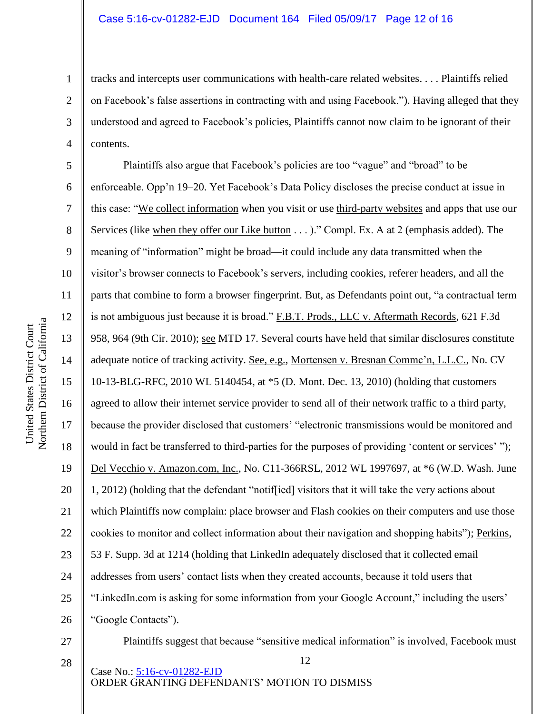tracks and intercepts user communications with health-care related websites. . . . Plaintiffs relied on Facebook's false assertions in contracting with and using Facebook."). Having alleged that they understood and agreed to Facebook's policies, Plaintiffs cannot now claim to be ignorant of their contents.

5 6 7 8 9 10 11 12 13 14 15 16 17 18 19 20 21 22 23 24 25 26 Plaintiffs also argue that Facebook's policies are too "vague" and "broad" to be enforceable. Opp'n 19–20. Yet Facebook's Data Policy discloses the precise conduct at issue in this case: "We collect information when you visit or use third-party websites and apps that use our Services (like when they offer our Like button . . . )." Compl. Ex. A at 2 (emphasis added). The meaning of "information" might be broad—it could include any data transmitted when the visitor's browser connects to Facebook's servers, including cookies, referer headers, and all the parts that combine to form a browser fingerprint. But, as Defendants point out, "a contractual term is not ambiguous just because it is broad." F.B.T. Prods., LLC v. Aftermath Records, 621 F.3d 958, 964 (9th Cir. 2010); see MTD 17. Several courts have held that similar disclosures constitute adequate notice of tracking activity. See, e.g., Mortensen v. Bresnan Commc'n, L.L.C., No. CV 10-13-BLG-RFC, 2010 WL 5140454, at \*5 (D. Mont. Dec. 13, 2010) (holding that customers agreed to allow their internet service provider to send all of their network traffic to a third party, because the provider disclosed that customers' "electronic transmissions would be monitored and would in fact be transferred to third-parties for the purposes of providing 'content or services' "); Del Vecchio v. Amazon.com, Inc., No. C11-366RSL, 2012 WL 1997697, at \*6 (W.D. Wash. June 1, 2012) (holding that the defendant "notif[ied] visitors that it will take the very actions about which Plaintiffs now complain: place browser and Flash cookies on their computers and use those cookies to monitor and collect information about their navigation and shopping habits"); Perkins, 53 F. Supp. 3d at 1214 (holding that LinkedIn adequately disclosed that it collected email addresses from users' contact lists when they created accounts, because it told users that "LinkedIn.com is asking for some information from your Google Account," including the users' "Google Contacts").

Plaintiffs suggest that because "sensitive medical information" is involved, Facebook must

12

28

Case No.: [5:16-cv-01282-EJD](https://ecf.cand.uscourts.gov/cgi-bin/DktRpt.pl?296642) ORDER GRANTING DEFENDANTS' MOTION TO DISMISS

1

2

3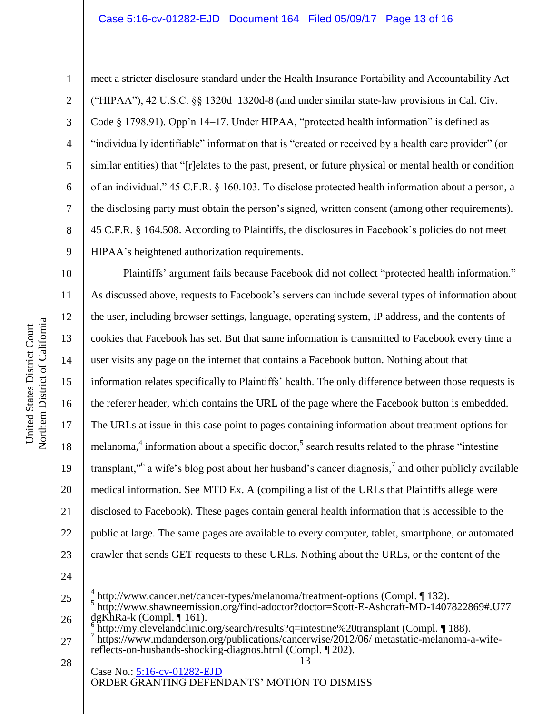4

5

6

7

8

9

10

11

12

13

14

15

17

18

19

20

21

22

23

1

meet a stricter disclosure standard under the Health Insurance Portability and Accountability Act ("HIPAA"), 42 U.S.C. §§ 1320d–1320d-8 (and under similar state-law provisions in Cal. Civ. Code § 1798.91). Opp'n 14–17. Under HIPAA, "protected health information" is defined as "individually identifiable" information that is "created or received by a health care provider" (or similar entities) that "[r]elates to the past, present, or future physical or mental health or condition of an individual." 45 C.F.R. § 160.103. To disclose protected health information about a person, a the disclosing party must obtain the person's signed, written consent (among other requirements). 45 C.F.R. § 164.508. According to Plaintiffs, the disclosures in Facebook's policies do not meet HIPAA's heightened authorization requirements.

16 Plaintiffs' argument fails because Facebook did not collect "protected health information." As discussed above, requests to Facebook's servers can include several types of information about the user, including browser settings, language, operating system, IP address, and the contents of cookies that Facebook has set. But that same information is transmitted to Facebook every time a user visits any page on the internet that contains a Facebook button. Nothing about that information relates specifically to Plaintiffs' health. The only difference between those requests is the referer header, which contains the URL of the page where the Facebook button is embedded. The URLs at issue in this case point to pages containing information about treatment options for melanoma,<sup>4</sup> information about a specific doctor,<sup>5</sup> search results related to the phrase "intestine" transplant,"<sup>6</sup> a wife's blog post about her husband's cancer diagnosis,<sup>7</sup> and other publicly available medical information. See MTD Ex. A (compiling a list of the URLs that Plaintiffs allege were disclosed to Facebook). These pages contain general health information that is accessible to the public at large. The same pages are available to every computer, tablet, smartphone, or automated crawler that sends GET requests to these URLs. Nothing about the URLs, or the content of the

24

 $\overline{a}$ 

<sup>25</sup> 26 4 http://www.cancer.net/cancer-types/melanoma/treatment-options (Compl. ¶ 132). 5 http://www.shawneemission.org/find-adoctor?doctor=Scott-E-Ashcraft-MD-1407822869#.U77 dgKhRa-k (Compl. ¶ 161). 6 http://my.clevelandclinic.org/search/results?q=intestine%20transplant (Compl. ¶ 188).

<sup>27</sup> 7 https://www.mdanderson.org/publications/cancerwise/2012/06/ metastatic-melanoma-a-wifereflects-on-husbands-shocking-diagnos.html (Compl. ¶ 202).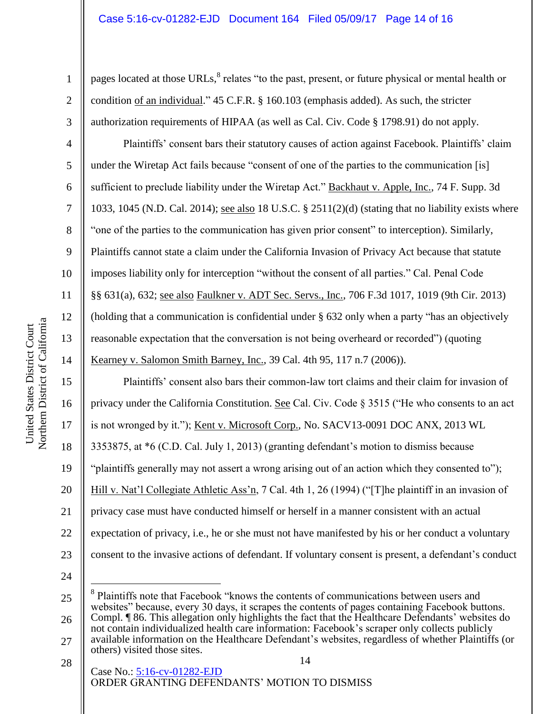pages located at those URLs,<sup>8</sup> relates "to the past, present, or future physical or mental health or condition of an individual." 45 C.F.R. § 160.103 (emphasis added). As such, the stricter authorization requirements of HIPAA (as well as Cal. Civ. Code § 1798.91) do not apply.

Plaintiffs' consent bars their statutory causes of action against Facebook. Plaintiffs' claim under the Wiretap Act fails because "consent of one of the parties to the communication [is] sufficient to preclude liability under the Wiretap Act." Backhaut v. Apple, Inc., 74 F. Supp. 3d 1033, 1045 (N.D. Cal. 2014); see also 18 U.S.C. § 2511(2)(d) (stating that no liability exists where "one of the parties to the communication has given prior consent" to interception). Similarly, Plaintiffs cannot state a claim under the California Invasion of Privacy Act because that statute imposes liability only for interception "without the consent of all parties." Cal. Penal Code §§ 631(a), 632; see also Faulkner v. ADT Sec. Servs., Inc., 706 F.3d 1017, 1019 (9th Cir. 2013) (holding that a communication is confidential under § 632 only when a party "has an objectively reasonable expectation that the conversation is not being overheard or recorded") (quoting Kearney v. Salomon Smith Barney, Inc., 39 Cal. 4th 95, 117 n.7 (2006)).

Plaintiffs' consent also bars their common-law tort claims and their claim for invasion of privacy under the California Constitution. See Cal. Civ. Code § 3515 ("He who consents to an act is not wronged by it."); Kent v. Microsoft Corp., No. SACV13-0091 DOC ANX, 2013 WL 3353875, at \*6 (C.D. Cal. July 1, 2013) (granting defendant's motion to dismiss because "plaintiffs generally may not assert a wrong arising out of an action which they consented to"); Hill v. Nat'l Collegiate Athletic Ass'n, 7 Cal. 4th 1, 26 (1994) ("The plaintiff in an invasion of privacy case must have conducted himself or herself in a manner consistent with an actual expectation of privacy, i.e., he or she must not have manifested by his or her conduct a voluntary consent to the invasive actions of defendant. If voluntary consent is present, a defendant's conduct  $\overline{a}$ 

24

14 Case No.: [5:16-cv-01282-EJD](https://ecf.cand.uscourts.gov/cgi-bin/DktRpt.pl?296642) ORDER GRANTING DEFENDANTS' MOTION TO DISMISS

1

2

3

4

5

6

7

8

9

10

11

12

13

14

15

16

17

18

19

20

21

22

23

<sup>25</sup> 26 8 Plaintiffs note that Facebook "knows the contents of communications between users and websites" because, every 30 days, it scrapes the contents of pages containing Facebook buttons. Compl. ¶ 86. This allegation only highlights the fact that the Healthcare Defendants' websites do not contain individualized health care information: Facebook's scraper only collects publicly

<sup>27</sup> available information on the Healthcare Defendant's websites, regardless of whether Plaintiffs (or others) visited those sites.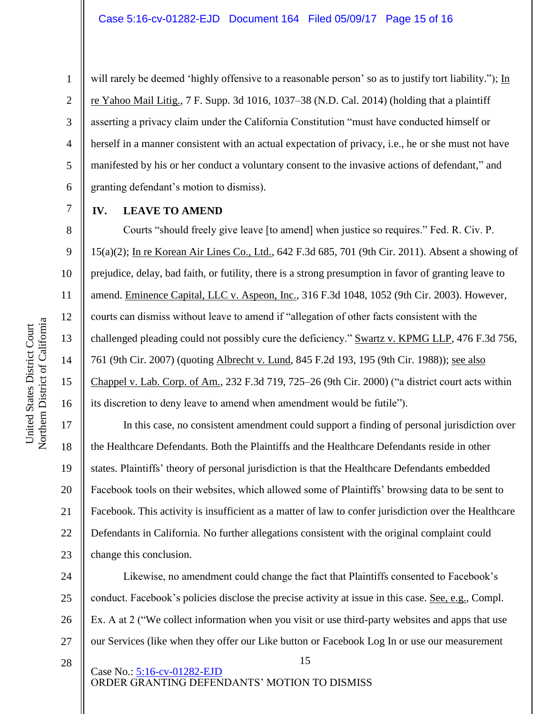2

3

4

5

6

7

8

9

10

11

12

13

14

15

16

17

18

19

20

21

22

23

1

will rarely be deemed 'highly offensive to a reasonable person' so as to justify tort liability."); In re Yahoo Mail Litig., 7 F. Supp. 3d 1016, 1037–38 (N.D. Cal. 2014) (holding that a plaintiff asserting a privacy claim under the California Constitution "must have conducted himself or herself in a manner consistent with an actual expectation of privacy, i.e., he or she must not have manifested by his or her conduct a voluntary consent to the invasive actions of defendant," and granting defendant's motion to dismiss).

### **IV. LEAVE TO AMEND**

Courts "should freely give leave [to amend] when justice so requires." Fed. R. Civ. P. 15(a)(2); In re Korean Air Lines Co., Ltd., 642 F.3d 685, 701 (9th Cir. 2011). Absent a showing of prejudice, delay, bad faith, or futility, there is a strong presumption in favor of granting leave to amend. Eminence Capital, LLC v. Aspeon, Inc., 316 F.3d 1048, 1052 (9th Cir. 2003). However, courts can dismiss without leave to amend if "allegation of other facts consistent with the challenged pleading could not possibly cure the deficiency." Swartz v. KPMG LLP, 476 F.3d 756, 761 (9th Cir. 2007) (quoting Albrecht v. Lund, 845 F.2d 193, 195 (9th Cir. 1988)); see also Chappel v. Lab. Corp. of Am., 232 F.3d 719, 725–26 (9th Cir. 2000) ("a district court acts within its discretion to deny leave to amend when amendment would be futile").

In this case, no consistent amendment could support a finding of personal jurisdiction over the Healthcare Defendants. Both the Plaintiffs and the Healthcare Defendants reside in other states. Plaintiffs' theory of personal jurisdiction is that the Healthcare Defendants embedded Facebook tools on their websites, which allowed some of Plaintiffs' browsing data to be sent to Facebook. This activity is insufficient as a matter of law to confer jurisdiction over the Healthcare Defendants in California. No further allegations consistent with the original complaint could change this conclusion.

24 25 26 27 Likewise, no amendment could change the fact that Plaintiffs consented to Facebook's conduct. Facebook's policies disclose the precise activity at issue in this case. See, e.g., Compl. Ex. A at 2 ("We collect information when you visit or use third-party websites and apps that use our Services (like when they offer our Like button or Facebook Log In or use our measurement

15

28